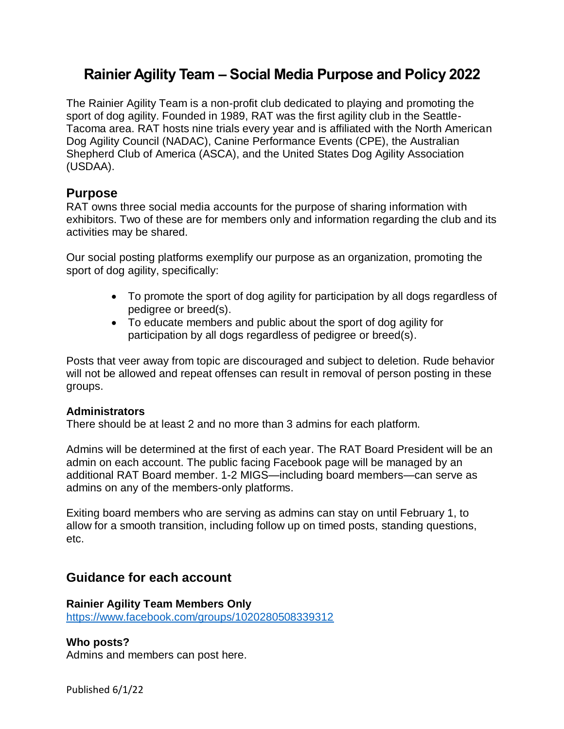# **Rainier Agility Team – Social Media Purpose and Policy 2022**

The Rainier Agility Team is a non-profit club dedicated to playing and promoting the sport of dog agility. Founded in 1989, RAT was the first agility club in the Seattle-Tacoma area. RAT hosts nine trials every year and is affiliated with the North American Dog Agility Council (NADAC), Canine Performance Events (CPE), the Australian Shepherd Club of America (ASCA), and the United States Dog Agility Association (USDAA).

# **Purpose**

RAT owns three social media accounts for the purpose of sharing information with exhibitors. Two of these are for members only and information regarding the club and its activities may be shared.

Our social posting platforms exemplify our purpose as an organization, promoting the sport of dog agility, specifically:

- To promote the sport of dog agility for participation by all dogs regardless of pedigree or breed(s).
- To educate members and public about the sport of dog agility for participation by all dogs regardless of pedigree or breed(s).

Posts that veer away from topic are discouraged and subject to deletion. Rude behavior will not be allowed and repeat offenses can result in removal of person posting in these groups.

# **Administrators**

There should be at least 2 and no more than 3 admins for each platform.

Admins will be determined at the first of each year. The RAT Board President will be an admin on each account. The public facing Facebook page will be managed by an additional RAT Board member. 1-2 MIGS—including board members—can serve as admins on any of the members-only platforms.

Exiting board members who are serving as admins can stay on until February 1, to allow for a smooth transition, including follow up on timed posts, standing questions, etc.

# **Guidance for each account**

# **Rainier Agility Team Members Only**

<https://www.facebook.com/groups/1020280508339312>

# **Who posts?**

Admins and members can post here.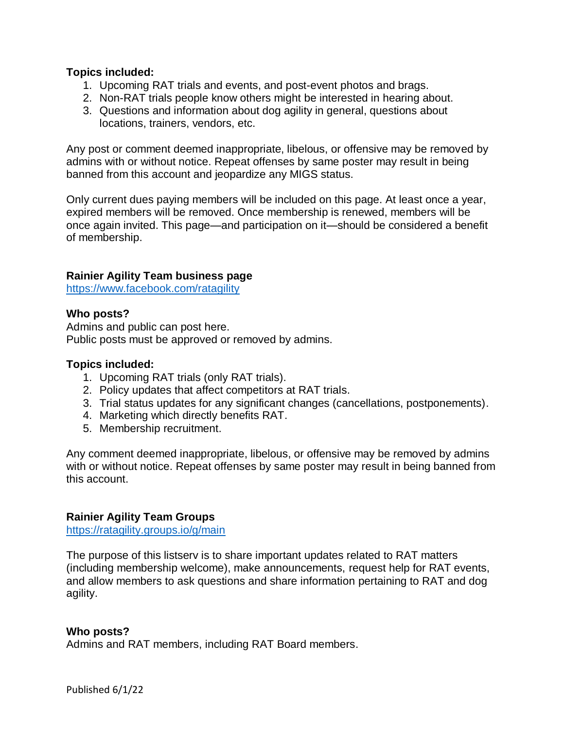# **Topics included:**

- 1. Upcoming RAT trials and events, and post-event photos and brags.
- 2. Non-RAT trials people know others might be interested in hearing about.
- 3. Questions and information about dog agility in general, questions about locations, trainers, vendors, etc.

Any post or comment deemed inappropriate, libelous, or offensive may be removed by admins with or without notice. Repeat offenses by same poster may result in being banned from this account and jeopardize any MIGS status.

Only current dues paying members will be included on this page. At least once a year, expired members will be removed. Once membership is renewed, members will be once again invited. This page—and participation on it—should be considered a benefit of membership.

#### **Rainier Agility Team business page**

<https://www.facebook.com/ratagility>

#### **Who posts?**

Admins and public can post here. Public posts must be approved or removed by admins.

#### **Topics included:**

- 1. Upcoming RAT trials (only RAT trials).
- 2. Policy updates that affect competitors at RAT trials.
- 3. Trial status updates for any significant changes (cancellations, postponements).
- 4. Marketing which directly benefits RAT.
- 5. Membership recruitment.

Any comment deemed inappropriate, libelous, or offensive may be removed by admins with or without notice. Repeat offenses by same poster may result in being banned from this account.

#### **Rainier Agility Team Groups**

<https://ratagility.groups.io/g/main>

The purpose of this listserv is to share important updates related to RAT matters (including membership welcome), make announcements, request help for RAT events, and allow members to ask questions and share information pertaining to RAT and dog agility.

#### **Who posts?**

Admins and RAT members, including RAT Board members.